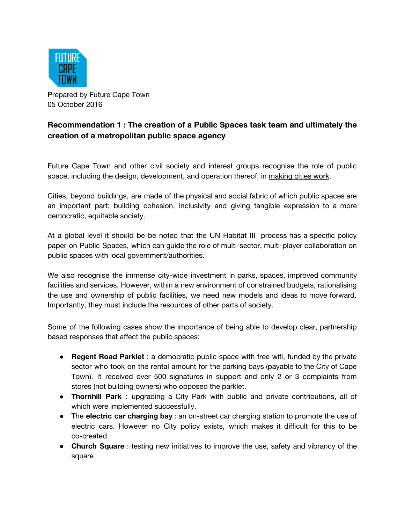

Prepared by Future Cape Town 05 October 2016

# **Recommendation 1 : The creation of a Public Spaces task team and ultimately the creation of a metropolitan public space agency**

Future Cape Town and other civil society and interest groups recognise the role of public space, including the design, development, and operation thereof, i[n](https://www.ted.com/talks/amanda_burden_how_public_spaces_make_cities_work?language=en) [making](https://www.ted.com/talks/amanda_burden_how_public_spaces_make_cities_work?language=en) cities work.

Cities, beyond buildings, are made of the physical and social fabric of which public spaces are an important part; building cohesion, inclusivity and giving tangible expression to a more democratic, equitable society.

At a global level it should be be noted that the UN Habitat III process has a specific policy paper on Public Spaces, which can guide the role of multi-sector, multi-player collaboration on public spaces with local government/authorities.

We also recognise the immense city-wide investment in parks, spaces, improved community facilities and services. However, within a new environment of constrained budgets, rationalising the use and ownership of public facilities, we need new models and ideas to move forward. Importantly, they must include the resources of other parts of society.

Some of the following cases show the importance of being able to develop clear, partnership based responses that affect the public spaces:

- **Regent Road Parklet** : a democratic public space with free wifi, funded by the private sector who took on the rental amount for the parking bays (payable to the City of Cape Town). It received over 500 signatures in support and only 2 or 3 complaints from stores (not building owners) who opposed the parklet.
- **Thornhill Park** : upgrading a City Park with public and private contributions, all of which were implemented successfully.
- The **electric car charging bay** : an on-street car charging station to promote the use of electric cars. However no City policy exists, which makes it difficult for this to be co-created.
- **Church Square** : testing new initiatives to improve the use, safety and vibrancy of the square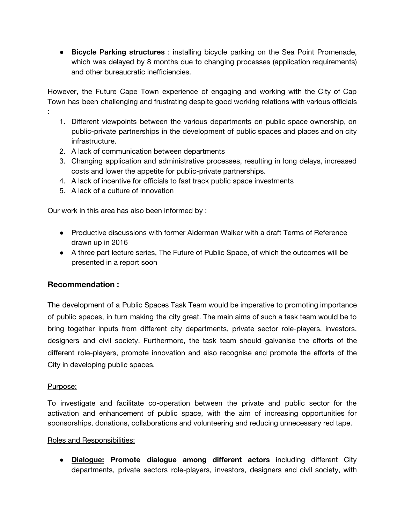● **Bicycle Parking structures** : installing bicycle parking on the Sea Point Promenade, which was delayed by 8 months due to changing processes (application requirements) and other bureaucratic inefficiencies.

However, the Future Cape Town experience of engaging and working with the City of Cap Town has been challenging and frustrating despite good working relations with various officials

- 1. Different viewpoints between the various departments on public space ownership, on public-private partnerships in the development of public spaces and places and on city infrastructure.
- 2. A lack of communication between departments
- 3. Changing application and administrative processes, resulting in long delays, increased costs and lower the appetite for public-private partnerships.
- 4. A lack of incentive for officials to fast track public space investments
- 5. A lack of a culture of innovation

Our work in this area has also been informed by :

- Productive discussions with former Alderman Walker with a draft Terms of Reference drawn up in 2016
- A three part lecture series, The Future of Public Space, of which the outcomes will be presented in a report soon

## **Recommendation :**

The development of a Public Spaces Task Team would be imperative to promoting importance of public spaces, in turn making the city great. The main aims of such a task team would be to bring together inputs from different city departments, private sector role-players, investors, designers and civil society. Furthermore, the task team should galvanise the efforts of the different role-players, promote innovation and also recognise and promote the efforts of the City in developing public spaces.

## Purpose:

:

To investigate and facilitate co-operation between the private and public sector for the activation and enhancement of public space, with the aim of increasing opportunities for sponsorships, donations, collaborations and volunteering and reducing unnecessary red tape.

### Roles and Responsibilities:

● **Dialogue: Promote dialogue among different actors** including different City departments, private sectors role-players, investors, designers and civil society, with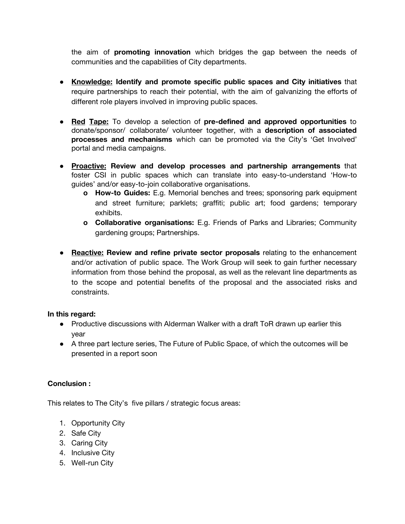the aim of **promoting innovation** which bridges the gap between the needs of communities and the capabilities of City departments.

- **● Knowledge: Identify and promote specific public spaces and City initiatives** that require partnerships to reach their potential, with the aim of galvanizing the efforts of different role players involved in improving public spaces.
- **Red Tape:** To develop a selection of **pre-defined and approved opportunities** to donate/sponsor/ collaborate/ volunteer together, with a **description of associated processes and mechanisms** which can be promoted via the City's 'Get Involved' portal and media campaigns.
- **Proactive: Review and develop processes and partnership arrangements** that foster CSI in public spaces which can translate into easy-to-understand 'How-to guides' and/or easy-to-join collaborative organisations.
	- **o How-to Guides:** E.g. Memorial benches and trees; sponsoring park equipment and street furniture; parklets; graffiti; public art; food gardens; temporary exhibits.
	- **o Collaborative organisations:** E.g. Friends of Parks and Libraries; Community gardening groups; Partnerships.
- **● Reactive: Review and refine private sector proposals** relating to the enhancement and/or activation of public space. The Work Group will seek to gain further necessary information from those behind the proposal, as well as the relevant line departments as to the scope and potential benefits of the proposal and the associated risks and constraints.

## **In this regard:**

- Productive discussions with Alderman Walker with a draft ToR drawn up earlier this year
- A three part lecture series, The Future of Public Space, of which the outcomes will be presented in a report soon

## **Conclusion :**

This relates to The City's five pillars / strategic focus areas:

- 1. Opportunity City
- 2. Safe City
- 3. Caring City
- 4. Inclusive City
- 5. Well-run City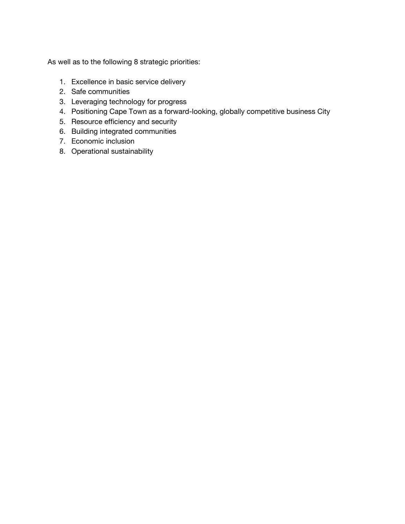As well as to the following 8 strategic priorities:

- 1. Excellence in basic service delivery
- 2. Safe communities
- 3. Leveraging technology for progress
- 4. Positioning Cape Town as a forward-looking, globally competitive business City
- 5. Resource efficiency and security
- 6. Building integrated communities
- 7. Economic inclusion
- 8. Operational sustainability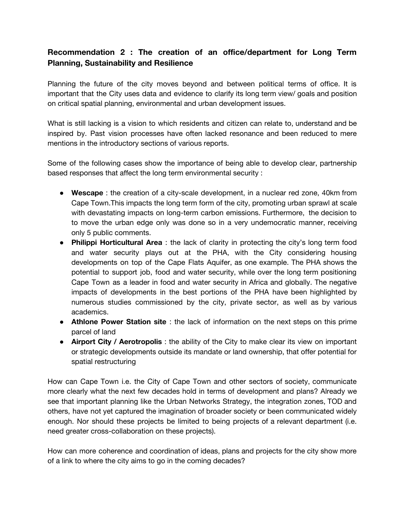# **Recommendation 2 : The creation of an office/department for Long Term Planning, Sustainability and Resilience**

Planning the future of the city moves beyond and between political terms of office. It is important that the City uses data and evidence to clarify its long term view/ goals and position on critical spatial planning, environmental and urban development issues.

What is still lacking is a vision to which residents and citizen can relate to, understand and be inspired by. Past vision processes have often lacked resonance and been reduced to mere mentions in the introductory sections of various reports.

Some of the following cases show the importance of being able to develop clear, partnership based responses that affect the long term environmental security :

- **Wescape** : the creation of a city-scale development, in a nuclear red zone, 40km from Cape Town.This impacts the long term form of the city, promoting urban sprawl at scale with devastating impacts on long-term carbon emissions. Furthermore, the decision to to move the urban edge only was done so in a very undemocratic manner, receiving only 5 public comments.
- **Philippi Horticultural Area** : the lack of clarity in protecting the city's long term food and water security plays out at the PHA, with the City considering housing developments on top of the Cape Flats Aquifer, as one example. The PHA shows the potential to support job, food and water security, while over the long term positioning Cape Town as a leader in food and water security in Africa and globally. The negative impacts of developments in the best portions of the PHA have been highlighted by numerous studies commissioned by the city, private sector, as well as by various academics.
- **Athlone Power Station site** : the lack of information on the next steps on this prime parcel of land
- **Airport City / Aerotropolis** : the ability of the City to make clear its view on important or strategic developments outside its mandate or land ownership, that offer potential for spatial restructuring

How can Cape Town i.e. the City of Cape Town and other sectors of society, communicate more clearly what the next few decades hold in terms of development and plans? Already we see that important planning like the Urban Networks Strategy, the integration zones, TOD and others, have not yet captured the imagination of broader society or been communicated widely enough. Nor should these projects be limited to being projects of a relevant department (i.e. need greater cross-collaboration on these projects).

How can more coherence and coordination of ideas, plans and projects for the city show more of a link to where the city aims to go in the coming decades?